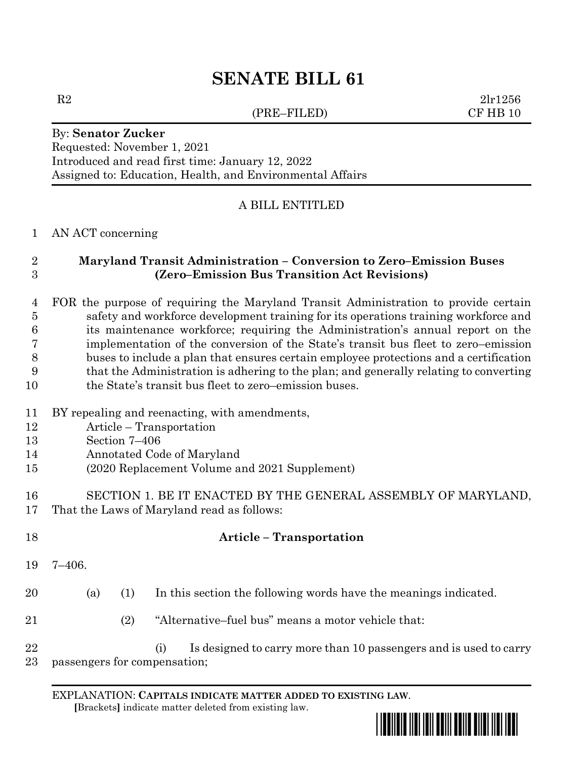# **SENATE BILL 61**

(PRE–FILED) CF HB 10

 $R2$   $2\text{lr}1256$ 

#### By: **Senator Zucker** Requested: November 1, 2021 Introduced and read first time: January 12, 2022 Assigned to: Education, Health, and Environmental Affairs

### A BILL ENTITLED

#### AN ACT concerning

# **Maryland Transit Administration – Conversion to Zero–Emission Buses (Zero–Emission Bus Transition Act Revisions)**

 FOR the purpose of requiring the Maryland Transit Administration to provide certain safety and workforce development training for its operations training workforce and its maintenance workforce; requiring the Administration's annual report on the implementation of the conversion of the State's transit bus fleet to zero–emission buses to include a plan that ensures certain employee protections and a certification that the Administration is adhering to the plan; and generally relating to converting 10 the State's transit bus fleet to zero–emission buses.

#### BY repealing and reenacting, with amendments,

- Article Transportation
- Section 7–406
- Annotated Code of Maryland
- (2020 Replacement Volume and 2021 Supplement)
- SECTION 1. BE IT ENACTED BY THE GENERAL ASSEMBLY OF MARYLAND, That the Laws of Maryland read as follows:

| 18       |                              |     | <b>Article</b> – Transportation                                          |
|----------|------------------------------|-----|--------------------------------------------------------------------------|
| 19       | 7–406.                       |     |                                                                          |
| 20       | (a)                          | (1) | In this section the following words have the meanings indicated.         |
| 21       |                              | (2) | "Alternative-fuel bus" means a motor vehicle that:                       |
| 22<br>23 | passengers for compensation; |     | Is designed to carry more than 10 passengers and is used to carry<br>(i) |

EXPLANATION: **CAPITALS INDICATE MATTER ADDED TO EXISTING LAW**.  **[**Brackets**]** indicate matter deleted from existing law.

\*sb0061\*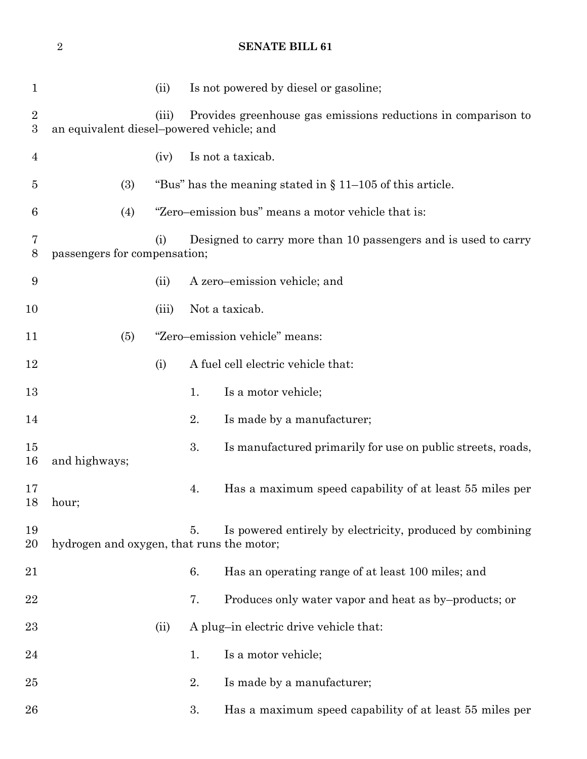1 (ii) Is not powered by diesel or gasoline; (iii) Provides greenhouse gas emissions reductions in comparison to an equivalent diesel–powered vehicle; and (iv) Is not a taxicab. (3) "Bus" has the meaning stated in § 11–105 of this article. (4) "Zero–emission bus" means a motor vehicle that is: (i) Designed to carry more than 10 passengers and is used to carry passengers for compensation; (ii) A zero–emission vehicle; and (iii) Not a taxicab. (5) "Zero–emission vehicle" means: (i) A fuel cell electric vehicle that: 13 1. Is a motor vehicle; 14 2. Is made by a manufacturer; 15 3. Is manufactured primarily for use on public streets, roads, and highways; 4. Has a maximum speed capability of at least 55 miles per hour; 5. Is powered entirely by electricity, produced by combining hydrogen and oxygen, that runs the motor; 6. Has an operating range of at least 100 miles; and 22 7. Produces only water vapor and heat as by–products; or 23 (ii) A plug-in electric drive vehicle that: 24 1. Is a motor vehicle: 25 2. Is made by a manufacturer; 3. Has a maximum speed capability of at least 55 miles per

**SENATE BILL 61**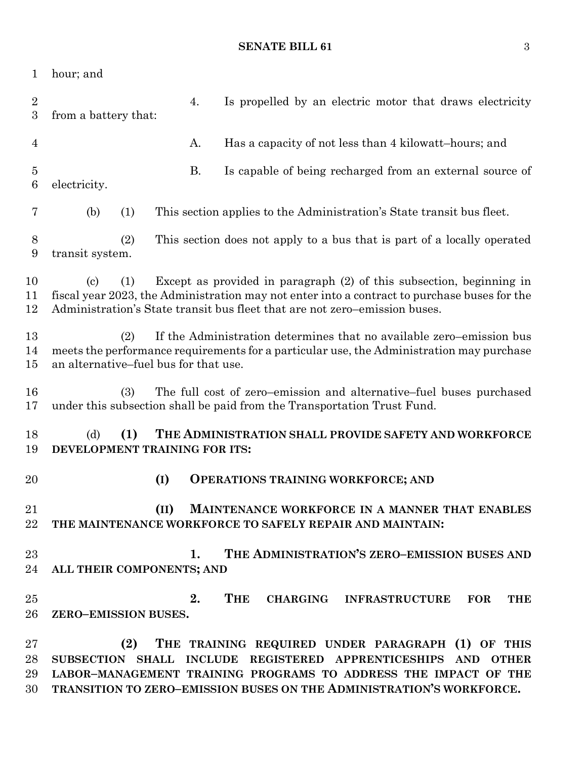#### **SENATE BILL 61** 3

| 1                                  | hour; and                                                                                                                                                                                                        |      |                                                                                                                                                                                                                                                    |  |  |  |
|------------------------------------|------------------------------------------------------------------------------------------------------------------------------------------------------------------------------------------------------------------|------|----------------------------------------------------------------------------------------------------------------------------------------------------------------------------------------------------------------------------------------------------|--|--|--|
| $\overline{2}$<br>$\boldsymbol{3}$ | from a battery that:                                                                                                                                                                                             | 4.   | Is propelled by an electric motor that draws electricity                                                                                                                                                                                           |  |  |  |
| $\overline{4}$                     |                                                                                                                                                                                                                  | Α.   | Has a capacity of not less than 4 kilowatt-hours; and                                                                                                                                                                                              |  |  |  |
| $\overline{5}$<br>$\boldsymbol{6}$ | electricity.                                                                                                                                                                                                     | Β.   | Is capable of being recharged from an external source of                                                                                                                                                                                           |  |  |  |
| 7                                  | (b)<br>(1)                                                                                                                                                                                                       |      | This section applies to the Administration's State transit bus fleet.                                                                                                                                                                              |  |  |  |
| 8<br>9                             | (2)<br>transit system.                                                                                                                                                                                           |      | This section does not apply to a bus that is part of a locally operated                                                                                                                                                                            |  |  |  |
| 10<br>11<br>12                     | (1)<br>$\left( \mathrm{c} \right)$                                                                                                                                                                               |      | Except as provided in paragraph (2) of this subsection, beginning in<br>fiscal year 2023, the Administration may not enter into a contract to purchase buses for the<br>Administration's State transit bus fleet that are not zero-emission buses. |  |  |  |
| 13<br>14<br>15                     | If the Administration determines that no available zero–emission bus<br>(2)<br>meets the performance requirements for a particular use, the Administration may purchase<br>an alternative–fuel bus for that use. |      |                                                                                                                                                                                                                                                    |  |  |  |
| 16<br>17                           | (3)                                                                                                                                                                                                              |      | The full cost of zero–emission and alternative–fuel buses purchased<br>under this subsection shall be paid from the Transportation Trust Fund.                                                                                                     |  |  |  |
| 18<br>19                           | (d)<br>THE ADMINISTRATION SHALL PROVIDE SAFETY AND WORKFORCE<br>(1)<br>DEVELOPMENT TRAINING FOR ITS:                                                                                                             |      |                                                                                                                                                                                                                                                    |  |  |  |
| 20                                 |                                                                                                                                                                                                                  | (I)  | <b>OPERATIONS TRAINING WORKFORCE; AND</b>                                                                                                                                                                                                          |  |  |  |
| 21<br>22                           |                                                                                                                                                                                                                  | (II) | MAINTENANCE WORKFORCE IN A MANNER THAT ENABLES<br>THE MAINTENANCE WORKFORCE TO SAFELY REPAIR AND MAINTAIN:                                                                                                                                         |  |  |  |
| 23                                 |                                                                                                                                                                                                                  | 1.   | THE ADMINISTRATION'S ZERO-EMISSION BUSES AND                                                                                                                                                                                                       |  |  |  |
| 24                                 | ALL THEIR COMPONENTS; AND                                                                                                                                                                                        |      |                                                                                                                                                                                                                                                    |  |  |  |
| 25                                 |                                                                                                                                                                                                                  | 2.   | THE<br>CHARGING INFRASTRUCTURE FOR<br><b>THE</b>                                                                                                                                                                                                   |  |  |  |
| 26                                 | ZERO-EMISSION BUSES.                                                                                                                                                                                             |      |                                                                                                                                                                                                                                                    |  |  |  |
| 27                                 | (2)                                                                                                                                                                                                              |      | THE TRAINING REQUIRED UNDER PARAGRAPH (1) OF THIS                                                                                                                                                                                                  |  |  |  |
| 28                                 |                                                                                                                                                                                                                  |      | SUBSECTION SHALL INCLUDE REGISTERED APPRENTICESHIPS AND OTHER                                                                                                                                                                                      |  |  |  |
| 29                                 |                                                                                                                                                                                                                  |      | LABOR-MANAGEMENT TRAINING PROGRAMS TO ADDRESS THE IMPACT OF THE                                                                                                                                                                                    |  |  |  |
| 30                                 | TRANSITION TO ZERO-EMISSION BUSES ON THE ADMINISTRATION'S WORKFORCE.                                                                                                                                             |      |                                                                                                                                                                                                                                                    |  |  |  |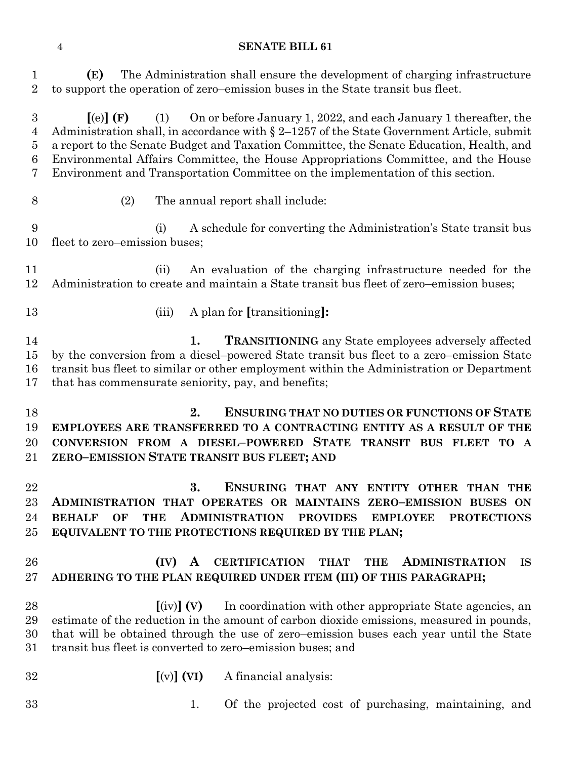#### **SENATE BILL 61**

 **(E)** The Administration shall ensure the development of charging infrastructure to support the operation of zero–emission buses in the State transit bus fleet.

 **[**(e)**] (F)** (1) On or before January 1, 2022, and each January 1 thereafter, the Administration shall, in accordance with § 2–1257 of the State Government Article, submit a report to the Senate Budget and Taxation Committee, the Senate Education, Health, and Environmental Affairs Committee, the House Appropriations Committee, and the House Environment and Transportation Committee on the implementation of this section.

- 
- (2) The annual report shall include:

 (i) A schedule for converting the Administration's State transit bus fleet to zero–emission buses;

 (ii) An evaluation of the charging infrastructure needed for the Administration to create and maintain a State transit bus fleet of zero–emission buses;

- 
- (iii) A plan for **[**transitioning**]:**

 **1. TRANSITIONING** any State employees adversely affected by the conversion from a diesel–powered State transit bus fleet to a zero–emission State transit bus fleet to similar or other employment within the Administration or Department that has commensurate seniority, pay, and benefits;

 **2. ENSURING THAT NO DUTIES OR FUNCTIONS OF STATE EMPLOYEES ARE TRANSFERRED TO A CONTRACTING ENTITY AS A RESULT OF THE CONVERSION FROM A DIESEL–POWERED STATE TRANSIT BUS FLEET TO A ZERO–EMISSION STATE TRANSIT BUS FLEET; AND**

 **3. ENSURING THAT ANY ENTITY OTHER THAN THE ADMINISTRATION THAT OPERATES OR MAINTAINS ZERO–EMISSION BUSES ON BEHALF OF THE ADMINISTRATION PROVIDES EMPLOYEE PROTECTIONS EQUIVALENT TO THE PROTECTIONS REQUIRED BY THE PLAN;**

# **(IV) A CERTIFICATION THAT THE ADMINISTRATION IS ADHERING TO THE PLAN REQUIRED UNDER ITEM (III) OF THIS PARAGRAPH;**

 **[**(iv)**] (V)** In coordination with other appropriate State agencies, an estimate of the reduction in the amount of carbon dioxide emissions, measured in pounds, that will be obtained through the use of zero–emission buses each year until the State transit bus fleet is converted to zero–emission buses; and

- **[**(v)**] (VI)** A financial analysis:
- 
- 1. Of the projected cost of purchasing, maintaining, and